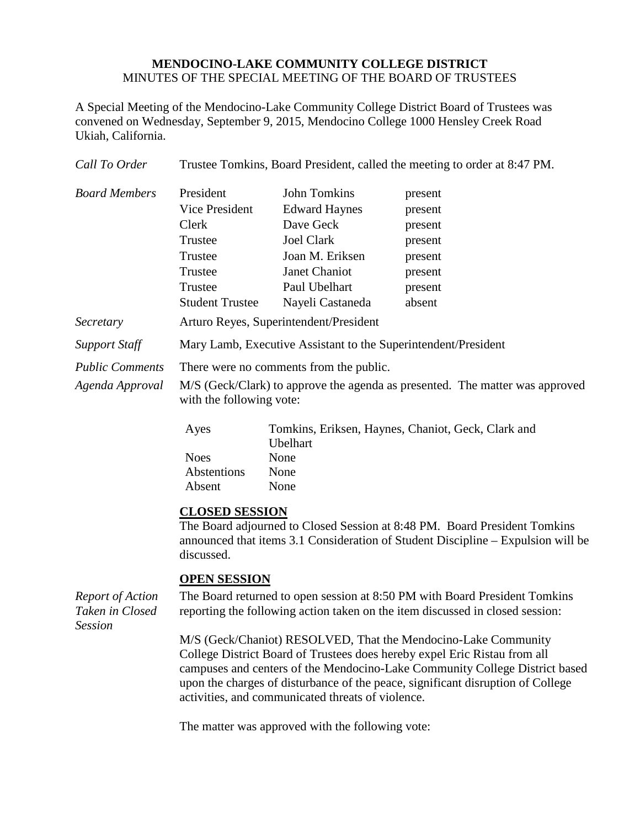## **MENDOCINO-LAKE COMMUNITY COLLEGE DISTRICT** MINUTES OF THE SPECIAL MEETING OF THE BOARD OF TRUSTEES

A Special Meeting of the Mendocino-Lake Community College District Board of Trustees was convened on Wednesday, September 9, 2015, Mendocino College 1000 Hensley Creek Road Ukiah, California.

| Call To Order                                                | Trustee Tomkins, Board President, called the meeting to order at 8:47 PM.                                                                                                                                                                                                                                                                                          |                                                                                                                                                        |                                                                                     |  |
|--------------------------------------------------------------|--------------------------------------------------------------------------------------------------------------------------------------------------------------------------------------------------------------------------------------------------------------------------------------------------------------------------------------------------------------------|--------------------------------------------------------------------------------------------------------------------------------------------------------|-------------------------------------------------------------------------------------|--|
| <b>Board Members</b>                                         | President<br>Vice President<br>Clerk<br>Trustee<br>Trustee<br>Trustee<br>Trustee<br><b>Student Trustee</b>                                                                                                                                                                                                                                                         | <b>John Tomkins</b><br><b>Edward Haynes</b><br>Dave Geck<br><b>Joel Clark</b><br>Joan M. Eriksen<br>Janet Chaniot<br>Paul Ubelhart<br>Nayeli Castaneda | present<br>present<br>present<br>present<br>present<br>present<br>present<br>absent |  |
| Secretary                                                    | Arturo Reyes, Superintendent/President                                                                                                                                                                                                                                                                                                                             |                                                                                                                                                        |                                                                                     |  |
| <b>Support Staff</b>                                         | Mary Lamb, Executive Assistant to the Superintendent/President                                                                                                                                                                                                                                                                                                     |                                                                                                                                                        |                                                                                     |  |
| <b>Public Comments</b><br>Agenda Approval                    | There were no comments from the public.<br>M/S (Geck/Clark) to approve the agenda as presented. The matter was approved<br>with the following vote:                                                                                                                                                                                                                |                                                                                                                                                        |                                                                                     |  |
|                                                              | Ayes<br><b>Noes</b><br>Abstentions<br>Absent                                                                                                                                                                                                                                                                                                                       | Ubelhart<br>None<br>None<br>None                                                                                                                       | Tomkins, Eriksen, Haynes, Chaniot, Geck, Clark and                                  |  |
|                                                              | <b>CLOSED SESSION</b><br>The Board adjourned to Closed Session at 8:48 PM. Board President Tomkins<br>announced that items 3.1 Consideration of Student Discipline – Expulsion will be<br>discussed.                                                                                                                                                               |                                                                                                                                                        |                                                                                     |  |
| <b>Report of Action</b><br>Taken in Closed<br><b>Session</b> | <b>OPEN SESSION</b><br>The Board returned to open session at 8:50 PM with Board President Tomkins<br>reporting the following action taken on the item discussed in closed session:                                                                                                                                                                                 |                                                                                                                                                        |                                                                                     |  |
|                                                              | M/S (Geck/Chaniot) RESOLVED, That the Mendocino-Lake Community<br>College District Board of Trustees does hereby expel Eric Ristau from all<br>campuses and centers of the Mendocino-Lake Community College District based<br>upon the charges of disturbance of the peace, significant disruption of College<br>activities, and communicated threats of violence. |                                                                                                                                                        |                                                                                     |  |

The matter was approved with the following vote: